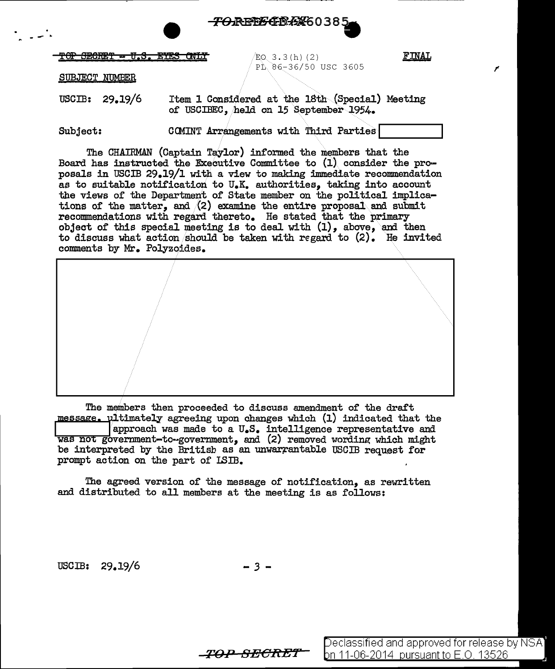

Eo. 3.3(h) (2) FINAL PL 86-36/50 USC 3605

I'

SUBJECT NUMBER

 $\cdot$ 

USCIB: 29.19/6 Item 1 Considered at the  $18th$  (Special) Meeting of USCIBEC, /held on 15 September 1954.

Subject: CCMINT Arrangements with Third Parties

The CHAIRMAN (Captain Taylor) informed the members that the Board has instructed the Executive Committee to  $(1)$  consider the proposals in USCIB 29.19/l with a view to making immediate recommendation as to suitable notification to U.K. authorities, taking into account the views of the Department of State member on the political implications of the matter, and  $(2)$  examine the entire proposal and submit recommendations with regard thereto. He stated that the primary object of this special meeting is to deal with  $(1)$ , above, and then to discuss what action should be taken with regard to  $(2)$ . He invited comments by Mr. Polyzoides.

The members then proceeded to discuss amendment of the draft message. ultimately agreeing upon changes which (1) indicated that the approach was made to a U.S. intelligence representative and was not government-to-government, and  $(2)$  removed wording which might be interpreted by the British as an unwarrantable USCIB request for prompt action on the part of ISIB.

The agreed version of the message of notification, as rewritten and distributed to all members at the meeting is as follows:

USCIB: 29.19/6

$$
-3 -
$$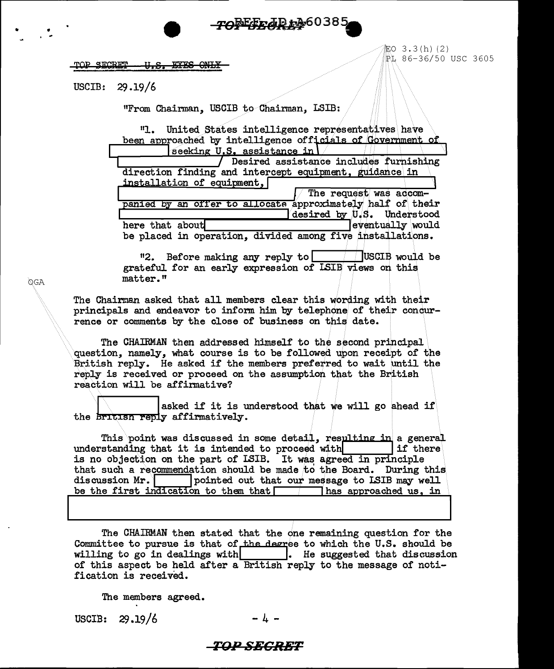## TOREET JD + 36038

TOP SECRET <del>U.S. EYES ONLY</del> 証O 3.3(h)(2) PL 86-36/50 USC 3605

USCIB:  $29.19/6$ 

"From Chairman, USCIB to Chairman, LSIB:

 $"1"$ United States intelligence representatives have been approached by intelligence officials of Government of seeking U.S. assistance in

| Desired assistance includes furnishing                     |
|------------------------------------------------------------|
| direction finding and intercept equipment, guidance in     |
| installation of equipment,                                 |
| The request was accom-                                     |
| panied by an offer to allocate approximately half of their |
| desired by U.S. Understood                                 |
| eventually would<br>here that about                        |
| be placed in operation, divided among five installations.  |

USCIB would be "2. Before making any reply to grateful for an early expression of ISIB views on this matter."

The Chairman asked that all members clear this wording with their principals and endeavor to inform him by telephone of their condurrence or comments by the close of business on this date.

The CHAIRMAN then addressed himself to the second principal question, namely, what course is to be followed upon receipt of the British reply. He asked if the members preferred to wait until the reply is received or proceed on the assumption that the British reaction will be affirmative?

asked if it is understood that we will go ahead if the british reply affirmatively.

This point was discussed in some detail, resulting in a general understanding that it is intended to proceed with lif there is no objection on the part of ISIB. It was agreed in principle that such a recommendation should be made to the Board. During this discussion Mr. pointed out that our message to LSIB may well be the first indication to them that  $\Box$ has approached us, in

The CHAIRMAN then stated that the one remaining question for the Committee to pursue is that of the degree to which the U.S. should be willing to go in dealings with . He suggested that discussion of this aspect be held after a British reply to the message of notification is received.

The members agreed.

USCIB:  $29.19/6$ 

## *\_TOP\_SECRET*

OGA